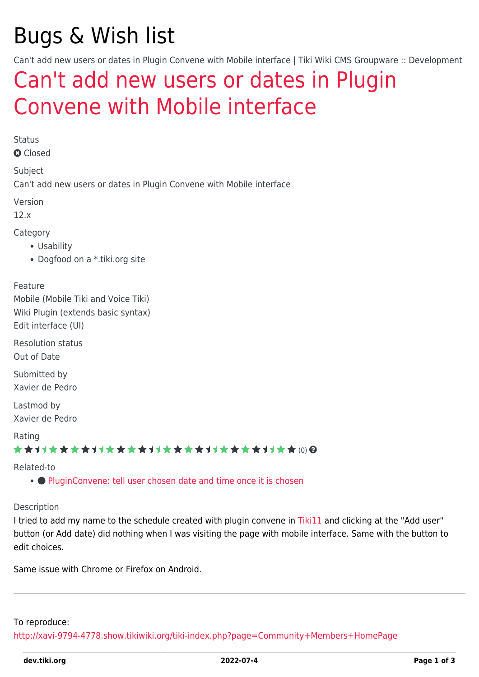# Bugs & Wish list

Can't add new users or dates in Plugin Convene with Mobile interface | Tiki Wiki CMS Groupware :: Development

## [Can't add new users or dates in Plugin](https://dev.tiki.org/item4778-Can-t-add-new-users-or-dates-in-Plugin-Convene-with-Mobile-interface) [Convene with Mobile interface](https://dev.tiki.org/item4778-Can-t-add-new-users-or-dates-in-Plugin-Convene-with-Mobile-interface)

Status

**a** Closed

Subject

Can't add new users or dates in Plugin Convene with Mobile interface

Version

12.x

Category

- Usability
- Dogfood on a \*.tiki.org site

Feature

Mobile (Mobile Tiki and Voice Tiki) Wiki Plugin (extends basic syntax) Edit interface (UI)

Resolution status Out of Date

Submitted by Xavier de Pedro

Lastmod by Xavier de Pedro

Rating

\*\*\*\*\*\*\*\*\*\*\*\*\*\*\*\*\*\*\*\*\*\*\*\*\*\*\*\*\*\*

Related-to

• [PluginConvene: tell user chosen date and time once it is chosen](https://dev.tiki.org/item7893-PluginConvene-tell-user-chosen-date-and-time-once-it-is-chosen)

Description

I tried to add my name to the schedule created with plugin convene in [Tiki11](https://dev.tiki.org/Tiki11) and clicking at the "Add user" button (or Add date) did nothing when I was visiting the page with mobile interface. Same with the button to edit choices.

Same issue with Chrome or Firefox on Android.

To reproduce:

<http://xavi-9794-4778.show.tikiwiki.org/tiki-index.php?page=Community+Members+HomePage>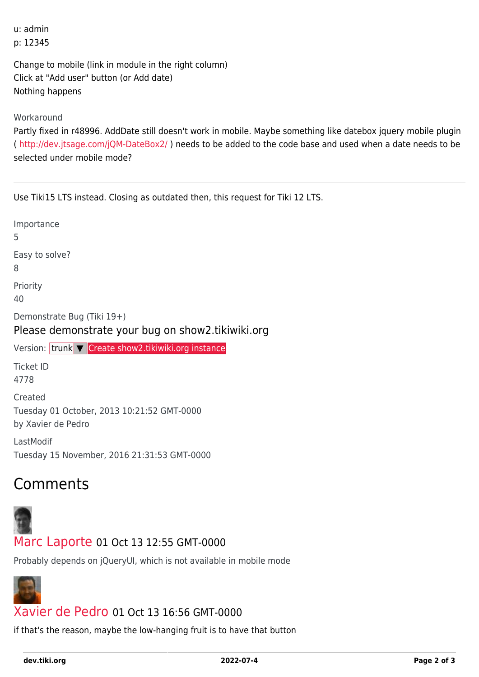u: admin p: 12345

Change to mobile (link in module in the right column) Click at "Add user" button (or Add date) Nothing happens

Workaround

Partly fixed in r48996. AddDate still doesn't work in mobile. Maybe something like datebox jquery mobile plugin (<http://dev.jtsage.com/jQM-DateBox2/> ) needs to be added to the code base and used when a date needs to be selected under mobile mode?

Use Tiki15 LTS instead. Closing as outdated then, this request for Tiki 12 LTS.

| Importance<br>5                                                                 |
|---------------------------------------------------------------------------------|
| Easy to solve?<br>8                                                             |
| Priority<br>40                                                                  |
| Demonstrate Bug (Tiki 19+)<br>Please demonstrate your bug on show2.tikiwiki.org |
| Version: trunk   Create show2.tikiwiki.org instance                             |
| <b>Ticket ID</b>                                                                |
| 4778                                                                            |
| Created<br>Tuesday 01 October, 2013 10:21:52 GMT-0000<br>by Xavier de Pedro     |

### **Comments**



#### [Marc Laporte](https://dev.tiki.org/user11197) 01 Oct 13 12:55 GMT-0000

Probably depends on jQueryUI, which is not available in mobile mode



#### [Xavier de Pedro](https://dev.tiki.org/user9794) 01 Oct 13 16:56 GMT-0000

if that's the reason, maybe the low-hanging fruit is to have that button